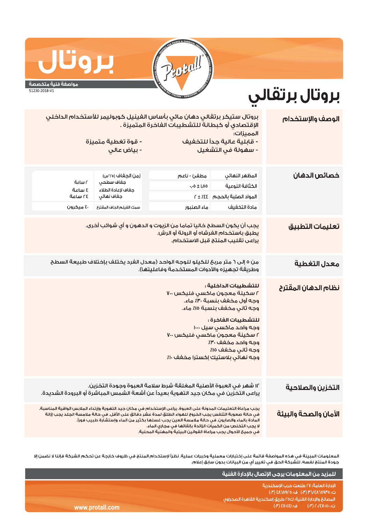

## بروت

## مواصفة فنية متخصصة

51230-2018-V1

## بروتال برتقالي

| الوصف والإستخدام      | بروتال ستيكر برتقالي دهان مائي بأساس الفينيل كوبوليمر للأستخدام الداخلي<br>الإقتصادي أو كبطانة للتشطيبات الفاخرة المتميزة .<br>المميزات:<br><mark>- قوة تغطية متميزة</mark><br>- قابلية عالية جداً للتذفيف<br>- بياض عالى<br>- سهولة في التشغيل                                                                                                                                                                                                     |                                                             |                                                                                                |                                        |  |  |
|-----------------------|-----------------------------------------------------------------------------------------------------------------------------------------------------------------------------------------------------------------------------------------------------------------------------------------------------------------------------------------------------------------------------------------------------------------------------------------------------|-------------------------------------------------------------|------------------------------------------------------------------------------------------------|----------------------------------------|--|--|
| خصائص الدهان          | المظهر النهائى<br>الكثافة النوعية<br>المواد الصلبة بالحجم<br>مادة التخفيف                                                                                                                                                                                                                                                                                                                                                                           | مطفئ - ناعم<br>$.00 \pm 0.00$<br>$33% \pm 7$<br>ماء الصنبور | زمن الجغاف (٢٥°س)<br>جغاف سطحي<br>جغاف لإعادة الطلاء<br>جفاف نهائى<br>سمك الغيلم الجاف المقترح | آساعة<br>ةحلس 3<br>ة ساعة<br>٤٠ ميکرون |  |  |
| تعليمات التطبيق       | يجب أن يكون السطح خاليا تماما من الزيوت و الدهون و أي شوائب أخرى.<br>يطبق باستخدام الفرشاه أو الرولة أو الرش.<br>يراعى تقليب المنتج قبل الاستخدام.                                                                                                                                                                                                                                                                                                  |                                                             |                                                                                                |                                        |  |  |
| معدل التغطية          | من ٥ إلى ٦ متر مربحَ للكيلو للوجه الواحد (معدل الفرد يختلف بإختلاف طبيعة السطح<br>وطريقة تجهيزه والأدوات المستخدمة وفاعليتها).                                                                                                                                                                                                                                                                                                                      |                                                             |                                                                                                |                                        |  |  |
| نظام الدهان المقترح   | للتشطيبات الداخلية ؛<br><mark>V</mark> سكينة معجون ماكسي فليكس<br>وجه أول مخفف بنسبة ٣٠٪ ماء.<br>وجه ثانى مخفف بنسبة ١٥٪ ماء.<br>للتشطيبات الفاخرة :<br>وجه واحد ماكسى سيل ١٠٠٠<br>٧٠٠ سكينة معجون ماكسب فليكس<br>وجه واحد مخفف ٣٠٪<br>وجه ثاني مخفف ١٥٪<br>وجه نهائي بلاستيك إكسترا مخفف ١٠٪                                                                                                                                                       |                                                             |                                                                                                |                                        |  |  |
| التخزين والصلاحية     | ١٢ شهر في العبوة الأصلية المغلقة شرط سلامة العبوة وجودة التخزين.<br>يراعى التخزين في مكان جيد التهوية بعيداً عن أشعة الشمس المباشرة أو البرودة الشديدة.                                                                                                                                                                                                                                                                                             |                                                             |                                                                                                |                                        |  |  |
| الأمان والصحة والبيئة | يجب مراعاة التعليمات المدونة على العبوة. يراعى الإستخدام في مكان جيد التهوية وإرتداء الملابس الواقية المناسبة.<br>فى حالة صعوبة التنفس يجب الخروج للهواء الطلق لمدة عشر دقائق على الأقل. فى حالة ملامسة الجلد يجب إزالة<br>المادة بالماء والصابون. فى حالة ملامسة العين يجب غسلها بكثير من الماء وإستشارة طبيب فوراً.<br>لا يجب التخلص من الكميات الزائدة بإلقائها فى محارى الماء.<br>فدرجوبك الأحوال يجبرون واعاقالقوانيث البيئية والمهنبة المجلية |                                                             |                                                                                                |                                        |  |  |

المعلومات المبينة في هذه المواصفة قائمة على إختبارات معملية وخبرات عملية. نظراً لإستخدام المنتج في ظروف خارجة عن تحكم الشركة فإننا لا نضمن إلا .<br>جودة المنتج نفسه. للشركة الحق من تغيير أي من البيانات بدون سابق إعلام.

www.protall.com

| للمزيد من المعلومات يرجى الإتصال بالإدارة الفنية            |                                            |
|-------------------------------------------------------------|--------------------------------------------|
| ˈالإدارة العامة؛ ٢٧ طلعت حرب الإسكندرية <sub>أ</sub>        |                                            |
| ت: ٥٣٩٨٢٨٦٨٢٥ (٣٠)   ف: ٥٦٨٩٢٥ (٣٠) ا                       |                                            |
| المصانع والإدارة الفنية؛ ك٥٥ طريق إسكندرية القاهرة الصحراوى |                                            |
|                                                             | ت: ۲۰/۱۱۰۷3۰/۰۲ (۳۰) هـ - ن ۱۶۱۰/۱۶۱ (۳۰۰) |
|                                                             |                                            |